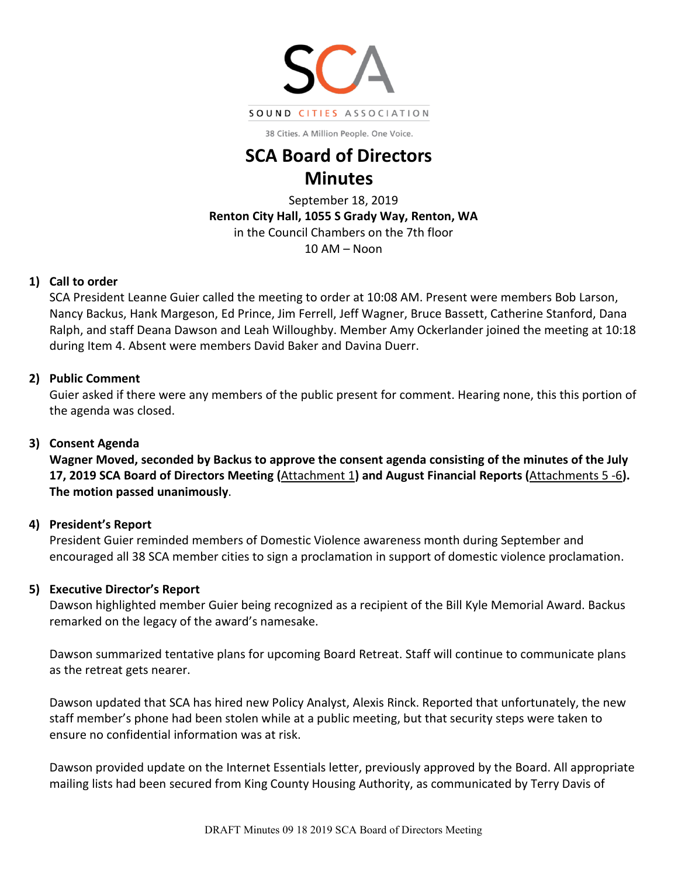

38 Cities. A Million People. One Voice.

# **SCA Board of Directors Minutes**

September 18, 2019 **Renton City Hall, 1055 S Grady Way, Renton, WA** in the Council Chambers on the 7th floor  $10 AM - N$ oon

## **1) Call to order**

SCA President Leanne Guier called the meeting to order at 10:08 AM. Present were members Bob Larson, Nancy Backus, Hank Margeson, Ed Prince, Jim Ferrell, Jeff Wagner, Bruce Bassett, Catherine Stanford, Dana Ralph, and staff Deana Dawson and Leah Willoughby. Member Amy Ockerlander joined the meeting at 10:18 during Item 4. Absent were members David Baker and Davina Duerr.

# **2) Public Comment**

Guier asked if there were any members of the public present for comment. Hearing none, this this portion of the agenda was closed.

# **3) Consent Agenda**

**Wagner Moved, seconded by Backus to approve the consent agenda consisting of the minutes of the July 17, 2019 SCA Board of Directors Meeting (**[Attachment 1](http://soundcities.org/wp-content/uploads/2019/09/Board-Minutes-7-17-2019.pdf)**) and August Financial Reports (**[Attachments 5 -6](http://soundcities.org/wp-content/uploads/2019/09/Board-Minutes-7-17-2019.pdf)**). The motion passed unanimously**.

# **4) President's Report**

President Guier reminded members of Domestic Violence awareness month during September and encouraged all 38 SCA member cities to sign a proclamation in support of domestic violence proclamation.

# **5) Executive Director's Report**

Dawson highlighted member Guier being recognized as a recipient of the Bill Kyle Memorial Award. Backus remarked on the legacy of the award's namesake.

Dawson summarized tentative plans for upcoming Board Retreat. Staff will continue to communicate plans as the retreat gets nearer.

Dawson updated that SCA has hired new Policy Analyst, Alexis Rinck. Reported that unfortunately, the new staff member's phone had been stolen while at a public meeting, but that security steps were taken to ensure no confidential information was at risk.

Dawson provided update on the Internet Essentials letter, previously approved by the Board. All appropriate mailing lists had been secured from King County Housing Authority, as communicated by Terry Davis of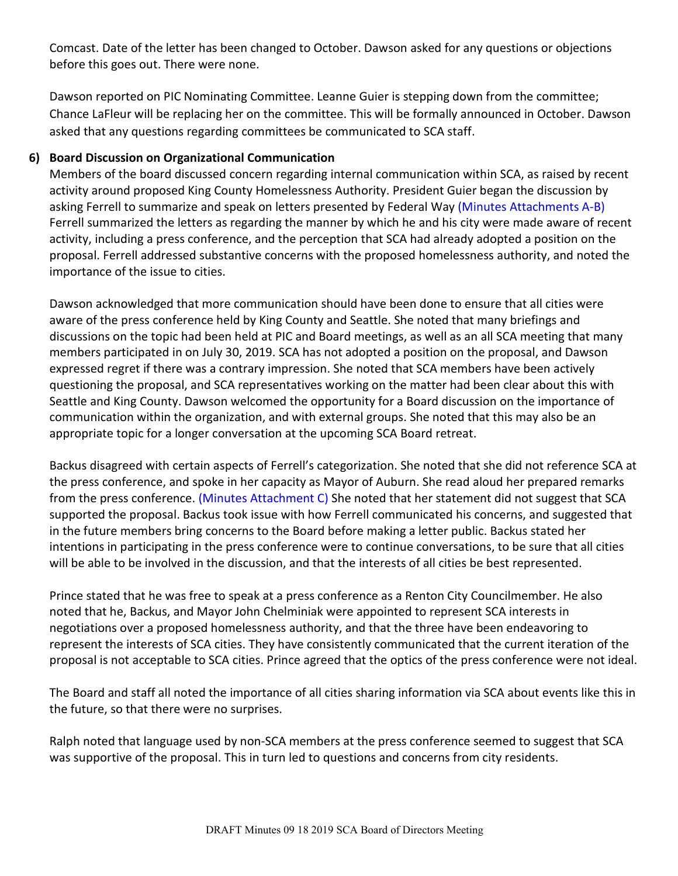Comcast. Date of the letter has been changed to October. Dawson asked for any questions or objections before this goes out. There were none.

Dawson reported on PIC Nominating Committee. Leanne Guier is stepping down from the committee; Chance LaFleur will be replacing her on the committee. This will be formally announced in October. Dawson asked that any questions regarding committees be communicated to SCA staff.

# **6) Board Discussion on Organizational Communication**

Members of the board discussed concern regarding internal communication within SCA, as raised by recent activity around proposed King County Homelessness Authority. President Guier began the discussion by asking Ferrell to summarize and speak on letters presented by Federal Way (Minutes Attachments A-B) Ferrell summarized the letters as regarding the manner by which he and his city were made aware of recent activity, including a press conference, and the perception that SCA had already adopted a position on the proposal. Ferrell addressed substantive concerns with the proposed homelessness authority, and noted the importance of the issue to cities.

Dawson acknowledged that more communication should have been done to ensure that all cities were aware of the press conference held by King County and Seattle. She noted that many briefings and discussions on the topic had been held at PIC and Board meetings, as well as an all SCA meeting that many members participated in on July 30, 2019. SCA has not adopted a position on the proposal, and Dawson expressed regret if there was a contrary impression. She noted that SCA members have been actively questioning the proposal, and SCA representatives working on the matter had been clear about this with Seattle and King County. Dawson welcomed the opportunity for a Board discussion on the importance of communication within the organization, and with external groups. She noted that this may also be an appropriate topic for a longer conversation at the upcoming SCA Board retreat.

Backus disagreed with certain aspects of Ferrell's categorization. She noted that she did not reference SCA at the press conference, and spoke in her capacity as Mayor of Auburn. She read aloud her prepared remarks from the press conference. (Minutes Attachment C) She noted that her statement did not suggest that SCA supported the proposal. Backus took issue with how Ferrell communicated his concerns, and suggested that in the future members bring concerns to the Board before making a letter public. Backus stated her intentions in participating in the press conference were to continue conversations, to be sure that all cities will be able to be involved in the discussion, and that the interests of all cities be best represented.

Prince stated that he was free to speak at a press conference as a Renton City Councilmember. He also noted that he, Backus, and Mayor John Chelminiak were appointed to represent SCA interests in negotiations over a proposed homelessness authority, and that the three have been endeavoring to represent the interests of SCA cities. They have consistently communicated that the current iteration of the proposal is not acceptable to SCA cities. Prince agreed that the optics of the press conference were not ideal.

The Board and staff all noted the importance of all cities sharing information via SCA about events like this in the future, so that there were no surprises.

Ralph noted that language used by non-SCA members at the press conference seemed to suggest that SCA was supportive of the proposal. This in turn led to questions and concerns from city residents.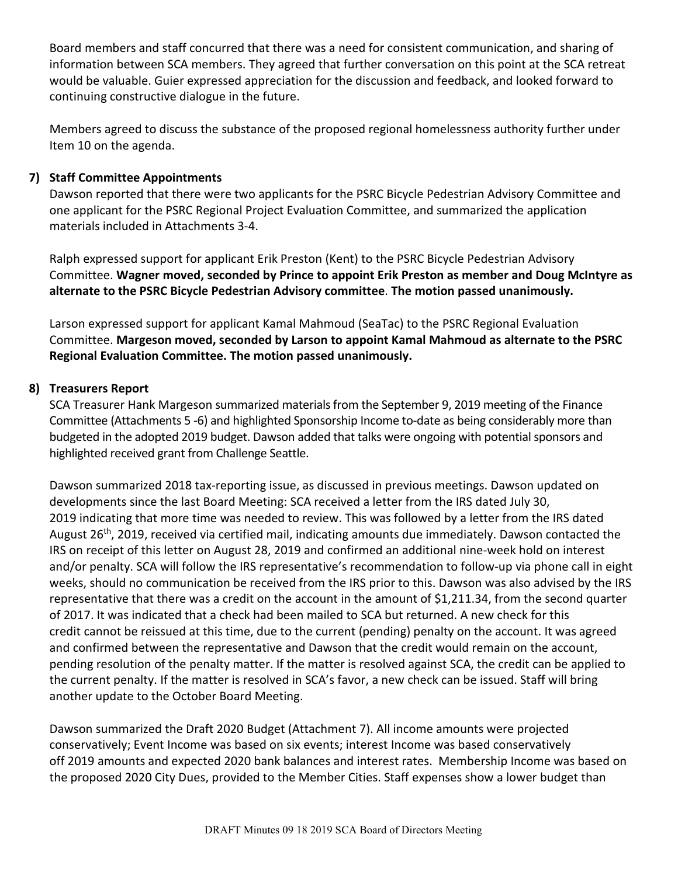Board members and staff concurred that there was a need for consistent communication, and sharing of information between SCA members. They agreed that further conversation on this point at the SCA retreat would be valuable. Guier expressed appreciation for the discussion and feedback, and looked forward to continuing constructive dialogue in the future.

Members agreed to discuss the substance of the proposed regional homelessness authority further under Item 10 on the agenda.

# **7) Staff Committee Appointments**

Dawson reported that there were two applicants for the PSRC Bicycle Pedestrian Advisory Committee and one applicant for the PSRC Regional Project Evaluation Committee, and summarized the application materials included in Attachments 3-4.

Ralph expressed support for applicant Erik Preston (Kent) to the PSRC Bicycle Pedestrian Advisory Committee. **Wagner moved, seconded by Prince to appoint Erik Preston as member and Doug McIntyre as alternate to the PSRC Bicycle Pedestrian Advisory committee**. **The motion passed unanimously.**

Larson expressed support for applicant Kamal Mahmoud (SeaTac) to the PSRC Regional Evaluation Committee. **Margeson moved, seconded by Larson to appoint Kamal Mahmoud as alternate to the PSRC Regional Evaluation Committee. The motion passed unanimously.**

# **8) Treasurers Report**

SCA Treasurer Hank Margeson summarized materials from the September 9, 2019 meeting of the Finance Committee (Attachments 5 -6) and highlighted Sponsorship Income to-date as being considerably more than budgeted in the adopted 2019 budget. Dawson added that talks were ongoing with potential sponsors and highlighted received grant from Challenge Seattle.

Dawson summarized 2018 tax-reporting issue, as discussed in previous meetings. Dawson updated on developments since the last Board Meeting: SCA received a letter from the IRS dated July 30, 2019 indicating that more time was needed to review. This was followed by a letter from the IRS dated August 26<sup>th</sup>, 2019, received via certified mail, indicating amounts due immediately. Dawson contacted the IRS on receipt of this letter on August 28, 2019 and confirmed an additional nine-week hold on interest and/or penalty. SCA will follow the IRS representative's recommendation to follow-up via phone call in eight weeks, should no communication be received from the IRS prior to this. Dawson was also advised by the IRS representative that there was a credit on the account in the amount of \$1,211.34, from the second quarter of 2017. It was indicated that a check had been mailed to SCA but returned. A new check for this credit cannot be reissued at this time, due to the current (pending) penalty on the account. It was agreed and confirmed between the representative and Dawson that the credit would remain on the account, pending resolution of the penalty matter. If the matter is resolved against SCA, the credit can be applied to the current penalty. If the matter is resolved in SCA's favor, a new check can be issued. Staff will bring another update to the October Board Meeting.

Dawson summarized the Draft 2020 Budget (Attachment 7). All income amounts were projected conservatively; Event Income was based on six events; interest Income was based conservatively off 2019 amounts and expected 2020 bank balances and interest rates. Membership Income was based on the proposed 2020 City Dues, provided to the Member Cities. Staff expenses show a lower budget than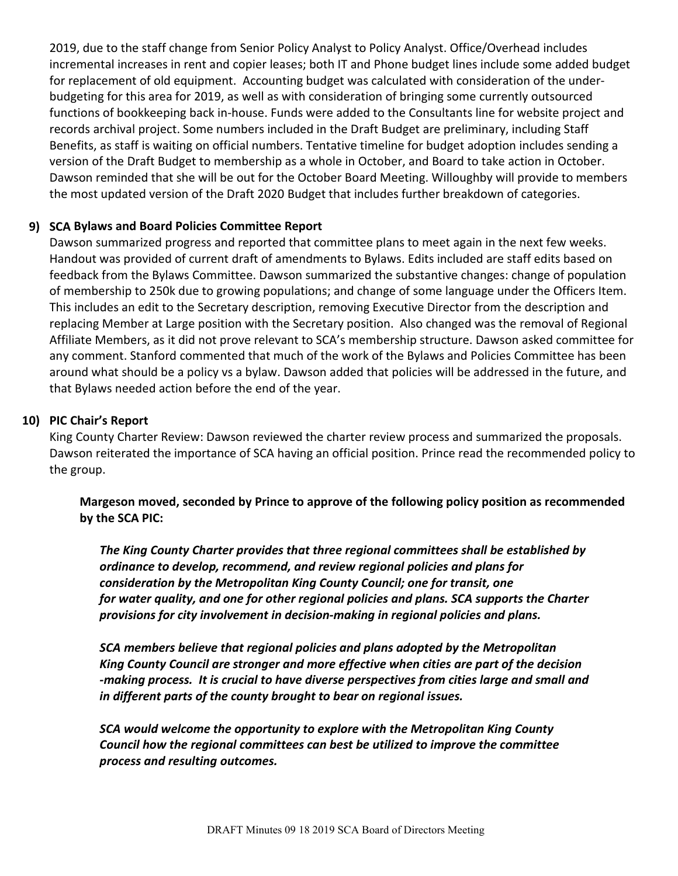2019, due to the staff change from Senior Policy Analyst to Policy Analyst. Office/Overhead includes incremental increases in rent and copier leases; both IT and Phone budget lines include some added budget for replacement of old equipment. Accounting budget was calculated with consideration of the underbudgeting for this area for 2019, as well as with consideration of bringing some currently outsourced functions of bookkeeping back in-house. Funds were added to the Consultants line for website project and records archival project. Some numbers included in the Draft Budget are preliminary, including Staff Benefits, as staff is waiting on official numbers. Tentative timeline for budget adoption includes sending a version of the Draft Budget to membership as a whole in October, and Board to take action in October. Dawson reminded that she will be out for the October Board Meeting. Willoughby will provide to members the most updated version of the Draft 2020 Budget that includes further breakdown of categories.

# **9) SCA Bylaws and Board Policies Committee Report**

Dawson summarized progress and reported that committee plans to meet again in the next few weeks. Handout was provided of current draft of amendments to Bylaws. Edits included are staff edits based on feedback from the Bylaws Committee. Dawson summarized the substantive changes: change of population of membership to 250k due to growing populations; and change of some language under the Officers Item. This includes an edit to the Secretary description, removing Executive Director from the description and replacing Member at Large position with the Secretary position. Also changed was the removal of Regional Affiliate Members, as it did not prove relevant to SCA's membership structure. Dawson asked committee for any comment. Stanford commented that much of the work of the Bylaws and Policies Committee has been around what should be a policy vs a bylaw. Dawson added that policies will be addressed in the future, and that Bylaws needed action before the end of the year.

## **10) PIC Chair's Report**

King County Charter Review: Dawson reviewed the charter review process and summarized the proposals. Dawson reiterated the importance of SCA having an official position. Prince read the recommended policy to the group.

**Margeson moved, seconded by Prince to approve of the following policy position as recommended by the SCA PIC:** 

*The King County Charter provides that three regional committees shall be established by ordinance to develop, recommend, and review regional policies and plans for* *consideration by the Metropolitan King County Council; one for transit, one* *for water quality, and one for other regional policies and plans. SCA supports the Charter provisions for city involvement in decision-making in regional policies and plans.*

*SCA members believe that regional policies and plans adopted by the Metropolitan King County Council are stronger and more effective when cities are part of the decision -making process. It is crucial to have diverse perspectives from cities large and small and in different parts of the county brought to bear on regional issues.*

*SCA would welcome the opportunity to explore with the Metropolitan King County* *Council how the regional committees can best be utilized to improve the committee process and resulting outcomes.*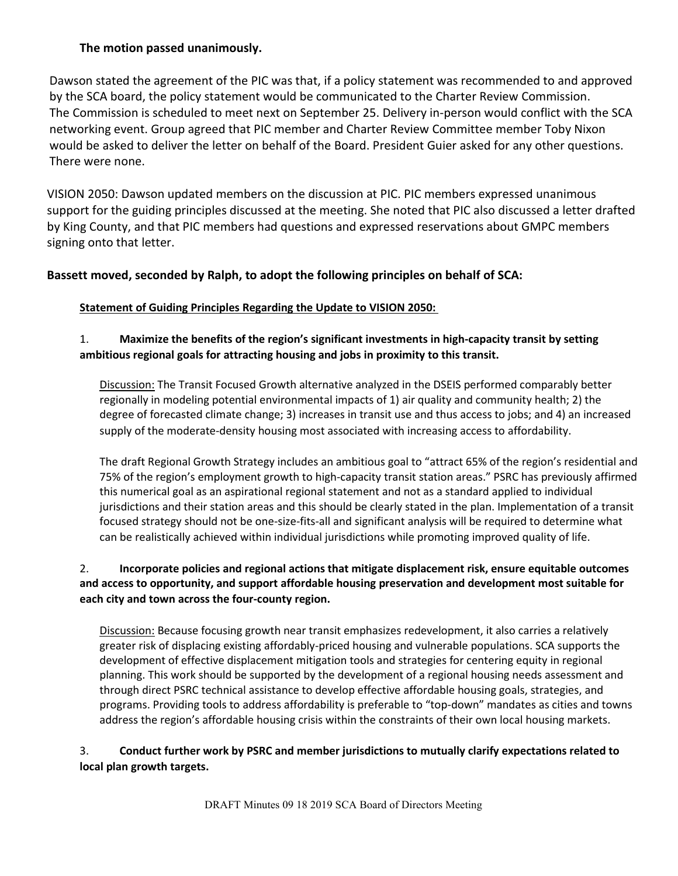## **The motion passed unanimously.**

Dawson stated the agreement of the PIC was that, if a policy statement was recommended to and approved by the SCA board, the policy statement would be communicated to the Charter Review Commission. The Commission is scheduled to meet next on September 25. Delivery in-person would conflict with the SCA networking event. Group agreed that PIC member and Charter Review Committee member Toby Nixon would be asked to deliver the letter on behalf of the Board. President Guier asked for any other questions. There were none.

VISION 2050: Dawson updated members on the discussion at PIC. PIC members expressed unanimous support for the guiding principles discussed at the meeting. She noted that PIC also discussed a letter drafted by King County, and that PIC members had questions and expressed reservations about GMPC members signing onto that letter.

## **Bassett moved, seconded by Ralph, to adopt the following principles on behalf of SCA:**

## **Statement of Guiding Principles Regarding the Update to VISION 2050:**

# 1. **Maximize the benefits of the region's significant investments in high-capacity transit by setting ambitious regional goals for attracting housing and jobs in proximity to this transit.**

Discussion: The Transit Focused Growth alternative analyzed in the DSEIS performed comparably better regionally in modeling potential environmental impacts of 1) air quality and community health; 2) the degree of forecasted climate change; 3) increases in transit use and thus access to jobs; and 4) an increased supply of the moderate-density housing most associated with increasing access to affordability.

The draft Regional Growth Strategy includes an ambitious goal to "attract 65% of the region's residential and 75% of the region's employment growth to high-capacity transit station areas." PSRC has previously affirmed this numerical goal as an aspirational regional statement and not as a standard applied to individual jurisdictions and their station areas and this should be clearly stated in the plan. Implementation of a transit focused strategy should not be one-size-fits-all and significant analysis will be required to determine what can be realistically achieved within individual jurisdictions while promoting improved quality of life.

## 2. **Incorporate policies and regional actions that mitigate displacement risk, ensure equitable outcomes and access to opportunity, and support affordable housing preservation and development most suitable for each city and town across the four-county region.**

Discussion: Because focusing growth near transit emphasizes redevelopment, it also carries a relatively greater risk of displacing existing affordably-priced housing and vulnerable populations. SCA supports the development of effective displacement mitigation tools and strategies for centering equity in regional planning. This work should be supported by the development of a regional housing needs assessment and through direct PSRC technical assistance to develop effective affordable housing goals, strategies, and programs. Providing tools to address affordability is preferable to "top-down" mandates as cities and towns address the region's affordable housing crisis within the constraints of their own local housing markets.

## 3. **Conduct further work by PSRC and member jurisdictions to mutually clarify expectations related to local plan growth targets.**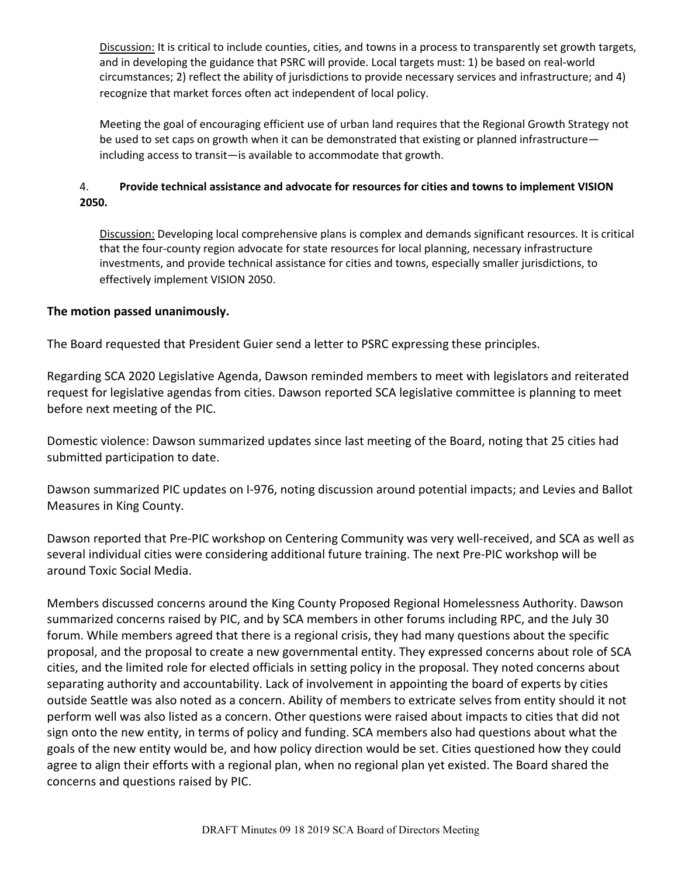Discussion: It is critical to include counties, cities, and towns in a process to transparently set growth targets, and in developing the guidance that PSRC will provide. Local targets must: 1) be based on real-world circumstances; 2) reflect the ability of jurisdictions to provide necessary services and infrastructure; and 4) recognize that market forces often act independent of local policy.

Meeting the goal of encouraging efficient use of urban land requires that the Regional Growth Strategy not be used to set caps on growth when it can be demonstrated that existing or planned infrastructure including access to transit—is available to accommodate that growth.

#### 4. **Provide technical assistance and advocate for resources for cities and towns to implement VISION 2050.**

Discussion: Developing local comprehensive plans is complex and demands significant resources. It is critical that the four-county region advocate for state resources for local planning, necessary infrastructure investments, and provide technical assistance for cities and towns, especially smaller jurisdictions, to effectively implement VISION 2050.

#### **The motion passed unanimously.**

The Board requested that President Guier send a letter to PSRC expressing these principles.

Regarding SCA 2020 Legislative Agenda, Dawson reminded members to meet with legislators and reiterated request for legislative agendas from cities. Dawson reported SCA legislative committee is planning to meet before next meeting of the PIC.

Domestic violence: Dawson summarized updates since last meeting of the Board, noting that 25 cities had submitted participation to date.

Dawson summarized PIC updates on I-976, noting discussion around potential impacts; and Levies and Ballot Measures in King County.

Dawson reported that Pre-PIC workshop on Centering Community was very well-received, and SCA as well as several individual cities were considering additional future training. The next Pre-PIC workshop will be around Toxic Social Media.

Members discussed concerns around the King County Proposed Regional Homelessness Authority. Dawson summarized concerns raised by PIC, and by SCA members in other forums including RPC, and the July 30 forum. While members agreed that there is a regional crisis, they had many questions about the specific proposal, and the proposal to create a new governmental entity. They expressed concerns about role of SCA cities, and the limited role for elected officials in setting policy in the proposal. They noted concerns about separating authority and accountability. Lack of involvement in appointing the board of experts by cities outside Seattle was also noted as a concern. Ability of members to extricate selves from entity should it not perform well was also listed as a concern. Other questions were raised about impacts to cities that did not sign onto the new entity, in terms of policy and funding. SCA members also had questions about what the goals of the new entity would be, and how policy direction would be set. Cities questioned how they could agree to align their efforts with a regional plan, when no regional plan yet existed. The Board shared the concerns and questions raised by PIC.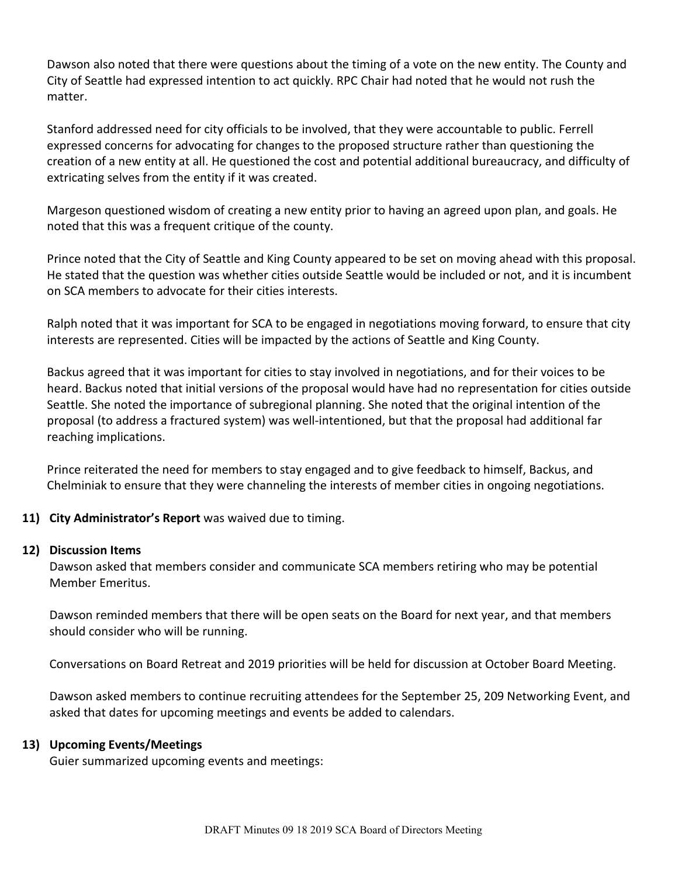Dawson also noted that there were questions about the timing of a vote on the new entity. The County and City of Seattle had expressed intention to act quickly. RPC Chair had noted that he would not rush the matter.

Stanford addressed need for city officials to be involved, that they were accountable to public. Ferrell expressed concerns for advocating for changes to the proposed structure rather than questioning the creation of a new entity at all. He questioned the cost and potential additional bureaucracy, and difficulty of extricating selves from the entity if it was created.

Margeson questioned wisdom of creating a new entity prior to having an agreed upon plan, and goals. He noted that this was a frequent critique of the county.

Prince noted that the City of Seattle and King County appeared to be set on moving ahead with this proposal. He stated that the question was whether cities outside Seattle would be included or not, and it is incumbent on SCA members to advocate for their cities interests.

Ralph noted that it was important for SCA to be engaged in negotiations moving forward, to ensure that city interests are represented. Cities will be impacted by the actions of Seattle and King County.

Backus agreed that it was important for cities to stay involved in negotiations, and for their voices to be heard. Backus noted that initial versions of the proposal would have had no representation for cities outside Seattle. She noted the importance of subregional planning. She noted that the original intention of the proposal (to address a fractured system) was well-intentioned, but that the proposal had additional far reaching implications.

Prince reiterated the need for members to stay engaged and to give feedback to himself, Backus, and Chelminiak to ensure that they were channeling the interests of member cities in ongoing negotiations.

# **11) City Administrator's Report** was waived due to timing.

#### **12) Discussion Items**

Dawson asked that members consider and communicate SCA members retiring who may be potential Member Emeritus.

Dawson reminded members that there will be open seats on the Board for next year, and that members should consider who will be running.

Conversations on Board Retreat and 2019 priorities will be held for discussion at October Board Meeting.

Dawson asked members to continue recruiting attendees for the September 25, 209 Networking Event, and asked that dates for upcoming meetings and events be added to calendars.

#### **13) Upcoming Events/Meetings**

Guier summarized upcoming events and meetings: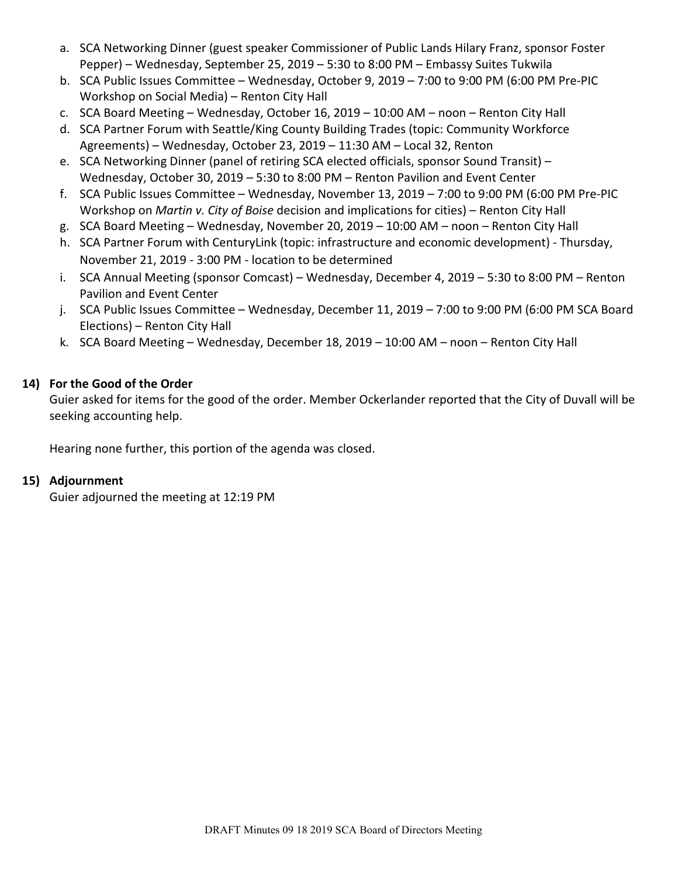- a. SCA Networking Dinner (guest speaker Commissioner of Public Lands Hilary Franz, sponsor Foster Pepper) – Wednesday, September 25, 2019 – 5:30 to 8:00 PM – Embassy Suites Tukwila
- b. SCA Public Issues Committee Wednesday, October 9, 2019 7:00 to 9:00 PM (6:00 PM Pre-PIC Workshop on Social Media) – Renton City Hall
- c. SCA Board Meeting Wednesday, October 16, 2019 10:00 AM noon Renton City Hall
- d. SCA Partner Forum with Seattle/King County Building Trades (topic: Community Workforce Agreements) – Wednesday, October 23, 2019 – 11:30 AM – Local 32, Renton
- e. SCA Networking Dinner (panel of retiring SCA elected officials, sponsor Sound Transit) Wednesday, October 30, 2019 – 5:30 to 8:00 PM – Renton Pavilion and Event Center
- f. SCA Public Issues Committee Wednesday, November 13, 2019 7:00 to 9:00 PM (6:00 PM Pre-PIC Workshop on *Martin v. City of Boise* decision and implications for cities) – Renton City Hall
- g. SCA Board Meeting Wednesday, November 20, 2019 10:00 AM noon Renton City Hall
- h. SCA Partner Forum with CenturyLink (topic: infrastructure and economic development) Thursday, November 21, 2019 - 3:00 PM - location to be determined
- i. SCA Annual Meeting (sponsor Comcast) Wednesday, December 4, 2019 5:30 to 8:00 PM Renton Pavilion and Event Center
- j. SCA Public Issues Committee Wednesday, December 11, 2019 7:00 to 9:00 PM (6:00 PM SCA Board Elections) – Renton City Hall
- k. SCA Board Meeting Wednesday, December 18, 2019 10:00 AM noon Renton City Hall

# **14) For the Good of the Order**

Guier asked for items for the good of the order. Member Ockerlander reported that the City of Duvall will be seeking accounting help.

Hearing none further, this portion of the agenda was closed.

# **15) Adjournment**

Guier adjourned the meeting at 12:19 PM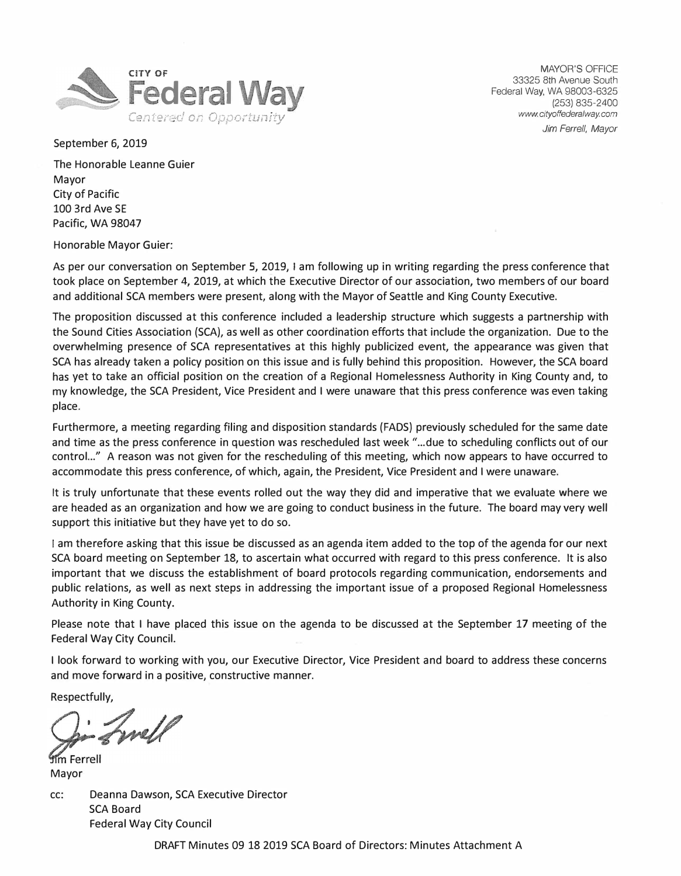

MAYOR'S OFFICE 33325 8th Avenue South Federal Way, WA 98003-6325 (253) 835-2400 *www.cityoffederalway.com* 

*Jim Ferrell, Mayor* 

September 6, 2019

The Honorable Leanne Guier Mayor City of Pacific 100 3rd Ave SE Pacific, WA 98047

Honorable Mayor Guier:

As per our conversation on September 5, 2019, I am following up in writing regarding the press conference that took place on September 4, 2019, at which the Executive Director of our association, two members of our board and additional SCA members were present, along with the Mayor of Seattle and King County Executive.

The proposition discussed at this conference included a leadership structure which suggests a partnership with the Sound Cities Association (SCA), as well as other coordination efforts that include the organization. Due to the overwhelming presence of SCA representatives at this highly publicized event, the appearance was given that SCA has already taken a policy position on this issue and is fully behind this proposition. However, the SCA board has yet to take an official position on the creation of a Regional Homelessness Authority in King County and, to my knowledge, the SCA President, Vice President and I were unaware that this press conference was even taking place.

Furthermore, a meeting regarding filing and disposition standards (FADS) previously scheduled for the same date and time as the press conference in question was rescheduled last week "...due to scheduling conflicts out of our control. .. " A reason was not given for the rescheduling of this meeting, which now appears to have occurred to accommodate this press conference, of which, again, the President, Vice President and I were unaware.

It is truly unfortunate that these events rolled out the way they did and imperative that we evaluate where we are headed as an organization and how we are going to conduct business in the future. The board may very well support this initiative but they have yet to do so.

I am therefore asking that this issue be discussed as an agenda item added to the top of the agenda for our next SCA board meeting on September 18, to ascertain what occurred with regard to this press conference. It is also important that we discuss the establishment of board protocols regarding communication, endorsements and public relations, as well as next steps in addressing the important issue of a proposed Regional Homelessness Authority in King County.

Please note that I have placed this issue on the agenda to be discussed at the September 17 meeting of the Federal Way City Council.

I look forward to working with you, our Executive Director, Vice President and board to address these concerns and move forward in a positive, constructive manner.

Respectfully,

Finell

tim Ferrell Mayor

cc: Deanna Dawson, SCA Executive Director SCA Board Federal Way City Council

DRAFT Minutes 09 18 2019 SCA Board of Directors: Minutes Attachment A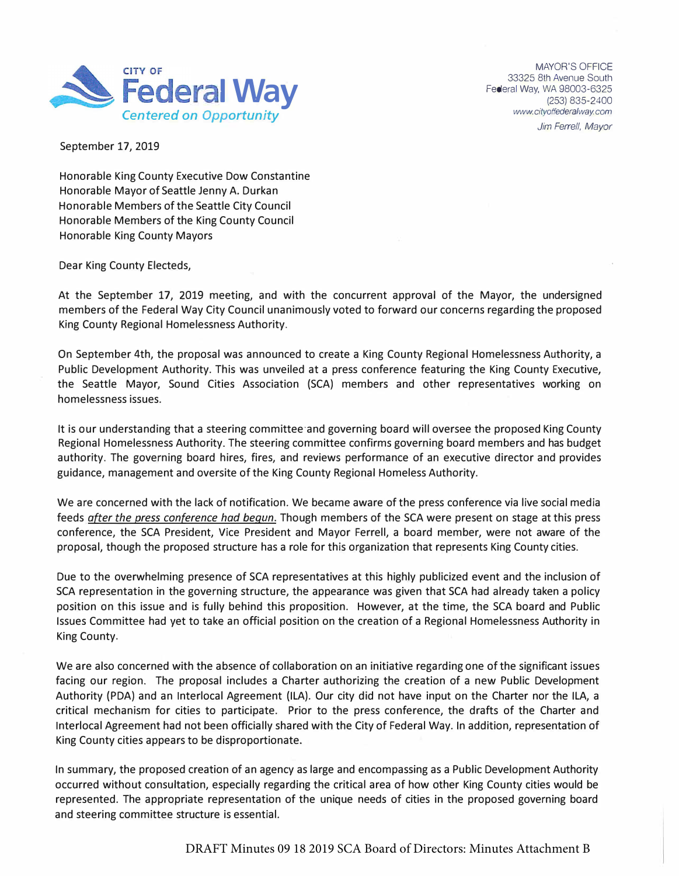

MAYOR'S OFFICE 33325 8th Avenue South Federal Way, WA 98003-6325 (253) 835-2400 *www. cityoffederalway com Jim Ferrell, Mayor* 

September 17, 2019

Honorable King County Executive Dow Constantine Honorable Mayor of Seattle Jenny A. Durkan Honorable Members of the Seattle City Council Honorable Members of the King County Council Honorable King County Mayors

Dear King County Electeds,

At the September 17, 2019 meeting, and with the concurrent approval of the Mayor, the undersigned members of the Federal Way City Council unanimously voted to forward our concerns regarding the proposed King County Regional Homelessness Authority.

On September 4th, the proposal was announced to create a King County Regional Homelessness Authority, a Public Development Authority. This was unveiled at a press conference featuring the King County Executive, the Seattle Mayor, Sound Cities Association (SCA) members and other representatives working on homelessness issues.

It is our understanding that a steering committee·and governing board will oversee the proposed King County Regional Homelessness Authority. The steering committee confirms governing board members and has budget authority. The governing board hires, fires, and reviews performance of an executive director and provides guidance, management and oversite of the King County Regional Homeless Authority.

We are concerned with the lack of notification. We became aware of the press conference via live social media feeds *after the press conference had begun.* Though members of the SCA were present on stage at this press conference, the SCA President, Vice President and Mayor Ferrell, a board member, were not aware of the proposal, though the proposed structure has a role for this organization that represents King County cities.

Due to the overwhelming presence of SCA representatives at this highly publicized event and the inclusion of SCA representation in the governing structure, the appearance was given that SCA had already taken a policy position on this issue and is fully behind this proposition. However, at the time, the SCA board and Public Issues Committee had yet to take an official position on the creation of a Regional Homelessness Authority in King County.

We are also concerned with the absence of collaboration on an initiative regarding one of the significant issues facing our region. The proposal includes a Charter authorizing the creation of a new Public Development Authority (PDA) and an lnterlocal Agreement (ILA). Our city did not have input on the Charter nor the ILA, a critical mechanism for cities to participate. Prior to the press conference, the drafts of the Charter and lnterlocal Agreement had not been officially shared with the City of Federal Way. In addition, representation of King County cities appears to be disproportionate.

In summary, the proposed creation of an agency as large and encompassing as a Public Development Authority occurred without consultation, especially regarding the critical area of how other King County cities would be represented. The appropriate representation of the unique needs of cities in the proposed governing board and steering committee structure is essential.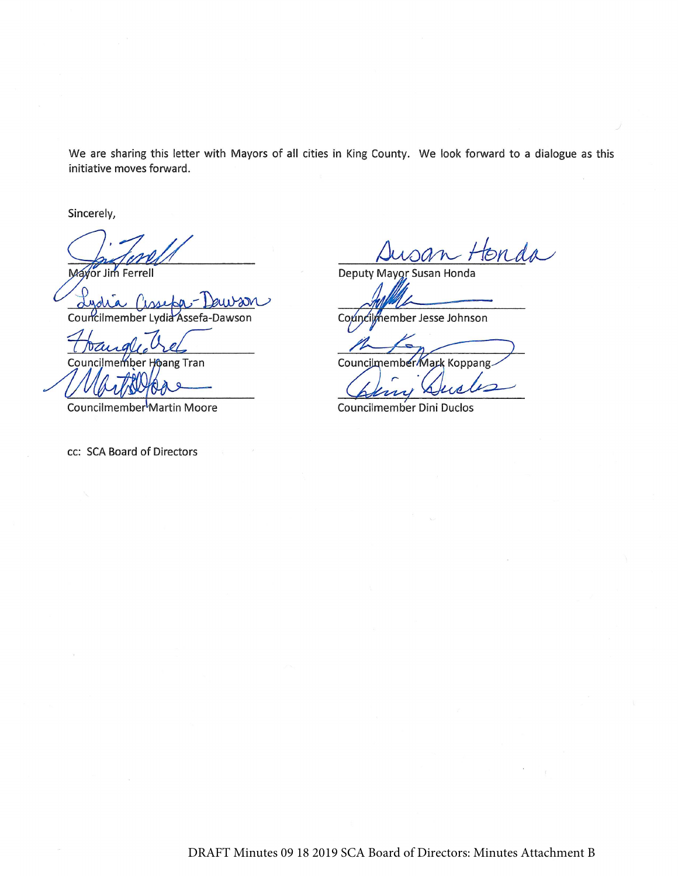We are sharing this letter with Mayors of all cities in King County. We look forward to a dialogue as this initiative moves forward.

Sincerely,

Mayor Jim Ferrell

Coun ssefa-Dawson

Counc her ang Tran

Councilmember<sup>1</sup>Martin Moore

cc: SCA Board of Directors

Honda

Deputy Mayor Susan Honda

Councilmember Jesse Johnson

Councilmember Mark Koppang

Councilmember Dini Duclos